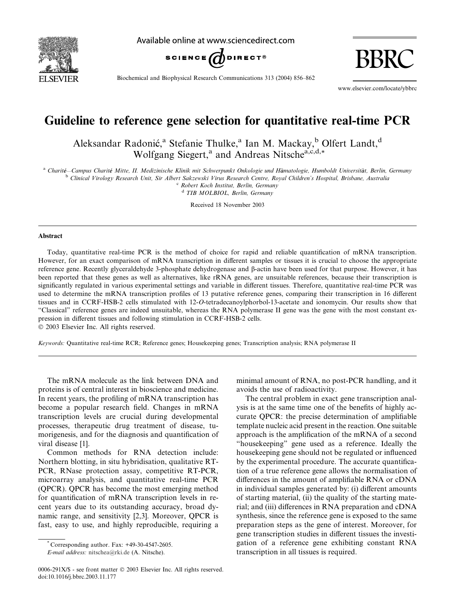

Available online at www.sciencedirect.com



Biochemical and Biophysical Research Communications 313 (2004) 856–862

www.elsevier.com/locate/ybbrc

BBRC

# Guideline to reference gene selection for quantitative real-time PCR

Aleksandar Radonić,<sup>a</sup> Stefanie Thulke,<sup>a</sup> Ian M. Mackay,<sup>b</sup> Olfert Landt,<sup>d</sup> Wolfgang Siegert,<sup>a</sup> and Andreas Nitsche<sup>a,c,d,\*</sup>

<sup>a</sup> Charité–Campus Charité Mitte, II. Medizinische Klinik mit Schwerpunkt Onkologie und Hämatologie, Humboldt Universität, Berlin, Germany<br><sup>b</sup> Clinical Virology Research Unit, Sir Albert Sakzewski Virus Research Centre, Ro

<sup>c</sup> Robert Koch Institut, Berlin, Germany

<sup>d</sup> TIB MOLBIOL, Berlin, Germany

Received 18 November 2003

#### Abstract

Today, quantitative real-time PCR is the method of choice for rapid and reliable quantification of mRNA transcription. However, for an exact comparison of mRNA transcription in different samples or tissues it is crucial to choose the appropriate reference gene. Recently glyceraldehyde 3-phosphate dehydrogenase and b-actin have been used for that purpose. However, it has been reported that these genes as well as alternatives, like rRNA genes, are unsuitable references, because their transcription is significantly regulated in various experimental settings and variable in different tissues. Therefore, quantitative real-time PCR was used to determine the mRNA transcription profiles of 13 putative reference genes, comparing their transcription in 16 different tissues and in CCRF-HSB-2 cells stimulated with 12-O-tetradecanoylphorbol-13-acetate and ionomycin. Our results show that "Classical" reference genes are indeed unsuitable, whereas the RNA polymerase II gene was the gene with the most constant expression in different tissues and following stimulation in CCRF-HSB-2 cells.

2003 Elsevier Inc. All rights reserved.

Keywords: Quantitative real-time RCR; Reference genes; Housekeeping genes; Transcription analysis; RNA polymerase II

The mRNA molecule as the link between DNA and proteins is of central interest in bioscience and medicine. In recent years, the profiling of mRNA transcription has become a popular research field. Changes in mRNA transcription levels are crucial during developmental processes, therapeutic drug treatment of disease, tumorigenesis, and for the diagnosis and quantification of viral disease [1].

Common methods for RNA detection include: Northern blotting, in situ hybridisation, qualitative RT-PCR, RNase protection assay, competitive RT-PCR, microarray analysis, and quantitative real-time PCR (QPCR). QPCR has become the most emerging method for quantification of mRNA transcription levels in recent years due to its outstanding accuracy, broad dynamic range, and sensitivity [2,3]. Moreover, QPCR is fast, easy to use, and highly reproducible, requiring a

Corresponding author. Fax:  $+49-30-4547-2605$ .

E-mail address: [nitschea@rki.de](mail to: nitschea@rki.de) (A. Nitsche).

minimal amount of RNA, no post-PCR handling, and it avoids the use of radioactivity.

The central problem in exact gene transcription analysis is at the same time one of the benefits of highly accurate QPCR: the precise determination of amplifiable template nucleic acid present in the reaction. One suitable approach is the amplification of the mRNA of a second "housekeeping" gene used as a reference. Ideally the housekeeping gene should not be regulated or influenced by the experimental procedure. The accurate quantification of a true reference gene allows the normalisation of differences in the amount of amplifiable RNA or cDNA in individual samples generated by: (i) different amounts of starting material, (ii) the quality of the starting material; and (iii) differences in RNA preparation and cDNA synthesis, since the reference gene is exposed to the same preparation steps as the gene of interest. Moreover, for gene transcription studies in different tissues the investigation of a reference gene exhibiting constant RNA transcription in all tissues is required.

<sup>0006-291</sup>X/\$ - see front matter  $\odot$  2003 Elsevier Inc. All rights reserved. doi:10.1016/j.bbrc.2003.11.177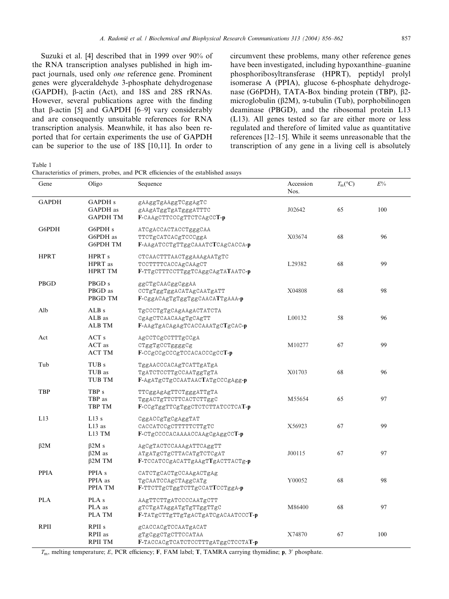Suzuki et al. [4] described that in 1999 over 90% of the RNA transcription analyses published in high impact journals, used only one reference gene. Prominent genes were glyceraldehyde 3-phosphate dehydrogenase (GAPDH), b-actin (Act), and 18S and 28S rRNAs. However, several publications agree with the finding that  $\beta$ -actin [5] and GAPDH [6–9] vary considerably and are consequently unsuitable references for RNA transcription analysis. Meanwhile, it has also been reported that for certain experiments the use of GAPDH can be superior to the use of 18S [10,11]. In order to

circumvent these problems, many other reference genes have been investigated, including hypoxanthine–guanine phosphoribosyltransferase (HPRT), peptidyl prolyl isomerase A (PPIA), glucose 6-phosphate dehydrogenase (G6PDH), TATA-Box binding protein (TBP), β2microglobulin ( $\beta$ 2M),  $\alpha$ -tubulin (Tub), porphobilinogen deaminase (PBGD), and the ribosomal protein L13 (L13). All genes tested so far are either more or less regulated and therefore of limited value as quantitative references [12–15]. While it seems unreasonable that the transcription of any gene in a living cell is absolutely

Table 1

Characteristics of primers, probes, and PCR efficiencies of the established assays

| Gene         | Oligo                                             | Sequence                                                                                | Accession<br>Nos. | $T_m$ <sup>(°C)</sup> | $E\%$ |
|--------------|---------------------------------------------------|-----------------------------------------------------------------------------------------|-------------------|-----------------------|-------|
| <b>GAPDH</b> | <b>GAPDH</b> s<br>GAPDH as<br><b>GAPDH TM</b>     | gAAggTgAAggTCggAgTC<br>gAAgATggTgATgggATTTC<br>F-CAAgCTTCCCgTTCTCAgCCT-p                | J02642            | 65                    | 100   |
| G6PDH        | G6PDH <sub>s</sub><br>G6PDH as<br><b>G6PDH TM</b> | ATCgACCACTACCTgggCAA<br>TTCTgCATCACgTCCCggA<br>F-AAgATCCTgTTggCAAATCTCAgCACCA-p         | X03674            | 68                    | 96    |
| <b>HPRT</b>  | HPRT <sub>s</sub><br>HPRT as<br><b>HPRT TM</b>    | CTCAACTTTAACTggAAAgAATgTC<br>TCCTTTTCACCAgCAAgCT<br>F-TTgCTTTCCTTggTCAggCAgTATAATC-p    | L29382            | 68                    | 99    |
| PBGD         | PBGD <sub>s</sub><br>PBGD as<br>PBGD TM           | ggCTgCAACggCggAA<br>CCTgTggTggACATAgCAATgATT<br>F-CggACAgTgTggTggCAACATTgAAA-p          | X04808            | 68                    | 98    |
| Alb          | ALB <sub>s</sub><br>ALB as<br><b>ALB TM</b>       | TgCCCTgTgCAgAAgACTATCTA<br>CgAgCTCAACAAgTgCAgTT<br>F-AAgTgACAgAgTCACCAAATgCTgCAC-p      | L00132            | 58                    | 96    |
| Act          | ACT s<br>ACT as<br><b>ACT TM</b>                  | AgCCTCgCCTTTgCCgA<br>CTggTgCCTggggCg<br>F-CCgCCgCCCgTCCACACCCgCCT-p                     | M10277            | 67                    | 99    |
| Tub          | TUB <sub>s</sub><br>TUB as<br>TUB TM              | TggAACCCACAgTCATTgATgA<br>TgATCTCCTTgCCAATggTgTA<br>F-AgATgCTgCCAATAACTATgCCCgAgg-p     | X01703            | 68                    | 96    |
| <b>TBP</b>   | TBP <sub>s</sub><br>TBP as<br>TBP TM              | TTCggAgAgTTCTgggATTgTA<br>TggACTgTTCTTCACTCTTggC<br>F-CCgTggTTCgTggCTCTCTTATCCTCAT-p    | M55654            | 65                    | 97    |
| L13          | L13s<br>$L13$ as<br>L13 TM                        | CggACCgTgCgAggTAT<br>CACCATCCgCTTTTTCTTgTC<br>F-CTgCCCCACAAAACCAAgCgAggCCT-p            | X56923            | 67                    | 99    |
| $\beta$ 2M   | $\beta$ 2M s<br>$\beta$ 2M as<br>$\beta$ 2M TM    | AgCgTACTCCAAAgATTCAggTT<br>ATgATgCTgCTTACATgTCTCgAT<br>F-TCCATCCgACATTgAAgTTgACTTACTg-p | J00115            | 67                    | 97    |
| <b>PPIA</b>  | PPIA <sub>s</sub><br>PPIA as<br>PPIA TM           | CATCTgCACTgCCAAgACTgAg<br>TgCAATCCAgCTAggCATg<br>F-TTCTTgCTggTCTTgCCATTCCTggA-p         | Y00052            | 68                    | 98    |
| <b>PLA</b>   | PLA <sub>s</sub><br>PLA as<br><b>PLA TM</b>       | AAgTTCTTgATCCCCAATgCTT<br>gTCTgATAggATgTgTTggTTgC<br>F-TATgCTTgTTgTgACTgATCgACAATCCCT-p | M86400            | 68                    | 97    |
| <b>RPII</b>  | RPII <sub>s</sub><br>RPII as<br><b>RPII TM</b>    | gCACCACgTCCAATgACAT<br>gTgCggCTgCTTCCATAA<br>F-TACCACgTCATCTCCTTTgATggCTCCTAT-p         | X74870            | 67                    | 100   |

 $T<sub>m</sub>$ , melting temperature; E, PCR efficiency; F, FAM label; T, TAMRA carrying thymidine; p, 3' phosphate.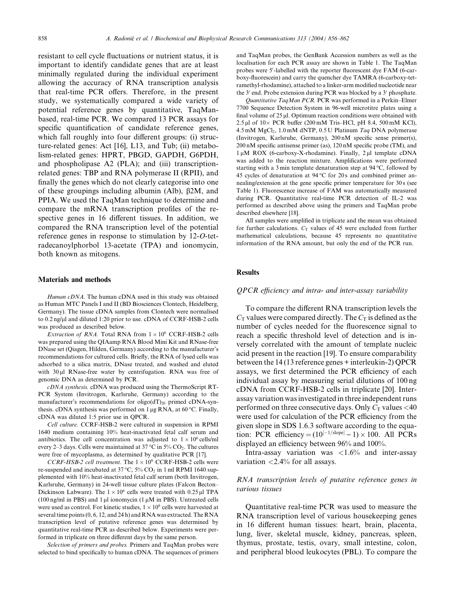resistant to cell cycle fluctuations or nutrient status, it is important to identify candidate genes that are at least minimally regulated during the individual experiment allowing the accuracy of RNA transcription analysis that real-time PCR offers. Therefore, in the present study, we systematically compared a wide variety of potential reference genes by quantitative, TaqManbased, real-time PCR. We compared 13 PCR assays for specific quantification of candidate reference genes, which fall roughly into four different groups: (i) structure-related genes: Act [16], L13, and Tub; (ii) metabolism-related genes: HPRT, PBGD, GAPDH, G6PDH, and phospholipase A2 (PLA); and (iii) transcriptionrelated genes: TBP and RNA polymerase II (RPII), and finally the genes which do not clearly categorise into one of these groupings including albumin (Alb),  $\beta$ 2M, and PPIA. We used the TaqMan technique to determine and compare the mRNA transcription profiles of the respective genes in 16 different tissues. In addition, we compared the RNA transcription level of the potential reference genes in response to stimulation by 12-O-tetradecanoylphorbol 13-acetate (TPA) and ionomycin, both known as mitogens.

#### Materials and methods

Human cDNA. The human cDNA used in this study was obtained as Human MTC Panels I and II (BD Biosciences Clontech, Heidelberg, Germany). The tissue cDNA samples from Clontech were normalised to 0.2 ng/ll and diluted 1:20 prior to use. cDNA of CCRF-HSB-2 cells was produced as described below.

Extraction of RNA. Total RNA from  $1 \times 10^6$  CCRF-HSB-2 cells was prepared using the QIAamp RNA Blood Mini Kit and RNase-free DNase set (Qiagen, Hilden, Germany) according to the manufacturer's recommendations for cultured cells. Briefly, the RNA of lysed cells was adsorbed to a silica matrix, DNase treated, and washed and eluted with 30 µl RNase-free water by centrifugation. RNA was free of genomic DNA as determined by PCR.

cDNA synthesis. cDNA was produced using the ThermoScript RT-PCR System (Invitrogen, Karlsruhe, Germany) according to the manufacturer's recommendations for  $oligo(dT)<sub>20</sub>$  primed cDNA-synthesis. cDNA synthesis was performed on  $1 \mu$ g RNA, at 60 °C. Finally, cDNA was diluted 1:5 prior use in QPCR.

Cell culture. CCRF-HSB-2 were cultured in suspension in RPMI 1640 medium containing 10% heat-inactivated fetal calf serum and antibiotics. The cell concentration was adjusted to  $1 \times 10^6$  cells/ml every 2–3 days. Cells were maintained at 37 °C in 5%  $\text{CO}_2$ . The cultures were free of mycoplasma, as determined by qualitative PCR [17].

CCRF-HSB-2 cell treatment. The  $1 \times 10^6$  CCRF-HSB-2 cells were re-suspended and incubated at 37 °C, 5%  $CO_2$  in 1 ml RPMI 1640 supplemented with 10% heat-inactivated fetal calf serum (both Invitrogen, Karlsruhe, Germany) in 24-well tissue culture plates (Falcon Becton– Dickinson Labware). The  $1 \times 10^6$  cells were treated with 0.25 µl TPA (100 ng/ml in PBS) and 1  $\mu$ l ionomycin (1  $\mu$ M in PBS). Untreated cells were used as control. For kinetic studies,  $1 \times 10^6$  cells were harvested at several time points (0, 6, 12, and 24 h) and RNA was extracted. The RNA transcription level of putative reference genes was determined by quantitative real-time PCR as described below. Experiments were performed in triplicate on three different days by the same person.

Selection of primers and probes. Primers and TaqMan probes were selected to bind specifically to human cDNA. The sequences of primers

and TaqMan probes, the GenBank Accession numbers as well as the localisation for each PCR assay are shown in Table 1. The TaqMan probes were 5'-labelled with the reporter fluorescent dye FAM (6-carboxy-fluorescein) and carry the quencher dye TAMRA (6-carboxy-tetramethyl-rhodamine), attached to a linker-arm modified nucleotide near the  $3'$  end. Probe extension during PCR was blocked by a  $3'$  phosphate.

Quantitative TaqMan PCR. PCR was performed in a Perkin–Elmer 7700 Sequence Detection System in 96-well microtitre plates using a final volume of  $25 \mu$ . Optimum reaction conditions were obtained with  $2.5 \mu$ l of  $10 \times PCR$  buffer (200 mM Tris–HCl, pH 8.4, 500 mM KCl), 4.5 mM  $MgCl<sub>2</sub>$ , 1.0 mM dNTP, 0.5 U Platinum Taq DNA polymerase (Invitrogen, Karlsruhe, Germany), 200 nM specific sense primer(s), 200 nM specific antisense primer (as), 120 nM specific probe (TM), and 1μM ROX (6-carboxy-X-rhodamine). Finally, 2μl template cDNA was added to the reaction mixture. Amplifications were performed starting with a 3 min template denaturation step at  $94^{\circ}$ C, followed by 45 cycles of denaturation at  $94^{\circ}$ C for 20s and combined primer annealing/extension at the gene specific primer temperature for 30 s (see Table 1). Fluorescence increase of FAM was automatically measured during PCR. Quantitative real-time PCR detection of IL-2 was performed as described above using the primers and TaqMan probe described elsewhere [18].

All samples were amplified in triplicate and the mean was obtained for further calculations.  $C_T$  values of 45 were excluded from further mathematical calculations, because 45 represents no quantitative information of the RNA amount, but only the end of the PCR run.

## **Results**

#### QPCR efficiency and intra- and inter-assay variability

To compare the different RNA transcription levels the  $C_T$  values were compared directly. The  $C_T$  is defined as the number of cycles needed for the fluorescence signal to reach a specific threshold level of detection and is inversely correlated with the amount of template nucleic acid present in the reaction [19]. To ensure comparability between the 14 (13 reference genes + interleukin-2) QPCR assays, we first determined the PCR efficiency of each individual assay by measuring serial dilutions of 100 ng cDNA from CCRF-HSB-2 cells in triplicate [20]. Interassay variation was investigated in three independent runs performed on three consecutive days. Only  $C_T$  values <40 were used for calculation of the PCR efficiency from the given slope in SDS 1.6.3 software according to the equation: PCR efficiency =  $(10^{[-1/\text{slope}]} - 1) \times 100$ . All PCRs displayed an efficiency between 96% and 100%.

Intra-assay variation was  $\langle 1.6\%$  and inter-assay variation <2.4% for all assays.

## RNA transcription levels of putative reference genes in various tissues

Quantitative real-time PCR was used to measure the RNA transcription level of various housekeeping genes in 16 different human tissues: heart, brain, placenta, lung, liver, skeletal muscle, kidney, pancreas, spleen, thymus, prostate, testis, ovary, small intestine, colon, and peripheral blood leukocytes (PBL). To compare the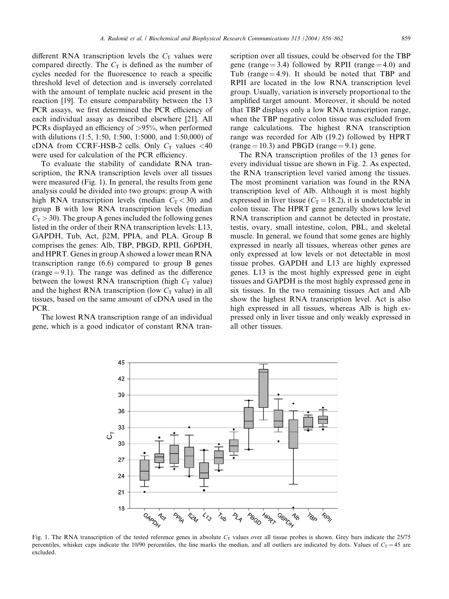different RNA transcription levels the  $C<sub>T</sub>$  values were compared directly. The  $C<sub>T</sub>$  is defined as the number of cycles needed for the fluorescence to reach a specific threshold level of detection and is inversely correlated with the amount of template nucleic acid present in the reaction [19]. To ensure comparability between the 13 PCR assays, we first determined the PCR efficiency of each individual assay as described elsewhere [21]. All PCRs displayed an efficiency of >95%, when performed with dilutions (1:5, 1:50, 1:500, 1:5000, and 1:50,000) of cDNA from CCRF-HSB-2 cells. Only  $C_T$  values <40 were used for calculation of the PCR efficiency.

To evaluate the stability of candidate RNA transcription, the RNA transcription levels over all tissues were measured (Fig. 1). In general, the results from gene analysis could be divided into two groups: group A with high RNA transcription levels (median  $C_T < 30$ ) and group B with low RNA transcription levels (median  $C_T > 30$ ). The group A genes included the following genes listed in the order of their RNA transcription levels: L13, GAPDH, Tub, Act,  $\beta$ 2M, PPIA, and PLA. Group B comprises the genes: Alb, TBP, PBGD, RPII, G6PDH, and HPRT. Genes in group A showed a lower mean RNA transcription range (6.6) compared to group B genes (range  $= 9.1$ ). The range was defined as the difference between the lowest RNA transcription (high  $C_T$  value) and the highest RNA transcription (low  $C<sub>T</sub>$  value) in all tissues, based on the same amount of cDNA used in the PCR.

The lowest RNA transcription range of an individual gene, which is a good indicator of constant RNA transcription over all tissues, could be observed for the TBP gene (range  $= 3.4$ ) followed by RPII (range  $= 4.0$ ) and Tub (range  $=$  4.9). It should be noted that TBP and RPII are located in the low RNA transcription level group. Usually, variation is inversely proportional to the amplified target amount. Moreover, it should be noted that TBP displays only a low RNA transcription range, when the TBP negative colon tissue was excluded from range calculations. The highest RNA transcription range was recorded for Alb (19.2) followed by HPRT (range  $= 10.3$ ) and PBGD (range  $= 9.1$ ) gene.

The RNA transcription profiles of the 13 genes for every individual tissue are shown in Fig. 2. As expected, the RNA transcription level varied among the tissues. The most prominent variation was found in the RNA transcription level of Alb. Although it is most highly expressed in liver tissue ( $C_T = 18.2$ ), it is undetectable in colon tissue. The HPRT gene generally shows low level RNA transcription and cannot be detected in prostate, testis, ovary, small intestine, colon, PBL, and skeletal muscle. In general, we found that some genes are highly expressed in nearly all tissues, whereas other genes are only expressed at low levels or not detectable in most tissue probes. GAPDH and L13 are highly expressed genes. L13 is the most highly expressed gene in eight tissues and GAPDH is the most highly expressed gene in six tissues. In the two remaining tissues Act and Alb show the highest RNA transcription level. Act is also high expressed in all tissues, whereas Alb is high expressed only in liver tissue and only weakly expressed in all other tissues.



Fig. 1. The RNA transcription of the tested reference genes in absolute  $C_T$  values over all tissue probes is shown. Grey bars indicate the 25/75 percentiles, whisker caps indicate the 10/90 percentiles, the line marks the median, and all outliers are indicated by dots. Values of  $C_T = 45$  are excluded.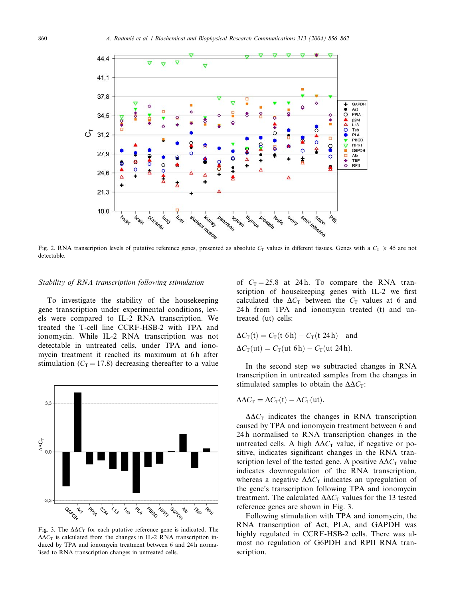

Fig. 2. RNA transcription levels of putative reference genes, presented as absolute  $C_T$  values in different tissues. Genes with a  $C_T \ge 45$  are not detectable.

#### Stability of RNA transcription following stimulation

To investigate the stability of the housekeeping gene transcription under experimental conditions, levels were compared to IL-2 RNA transcription. We treated the T-cell line CCRF-HSB-2 with TPA and ionomycin. While IL-2 RNA transcription was not detectable in untreated cells, under TPA and ionomycin treatment it reached its maximum at 6h after stimulation ( $C_T = 17.8$ ) decreasing thereafter to a value



Fig. 3. The  $\Delta \Delta C_T$  for each putative reference gene is indicated. The  $\Delta\Delta C_{\text{T}}$  is calculated from the changes in IL-2 RNA transcription induced by TPA and ionomycin treatment between 6 and 24 h normalised to RNA transcription changes in untreated cells.

of  $C_T = 25.8$  at 24 h. To compare the RNA transcription of housekeeping genes with IL-2 we first calculated the  $\Delta C_T$  between the  $C_T$  values at 6 and 24 h from TPA and ionomycin treated (t) and untreated (ut) cells:

$$
\Delta C_{\text{T}}(\text{t}) = C_{\text{T}}(\text{t 6h}) - C_{\text{T}}(\text{t 24h}) \text{ and}
$$

$$
\Delta C_{\text{T}}(\text{ut}) = C_{\text{T}}(\text{ut 6h}) - C_{\text{T}}(\text{ut 24h}).
$$

In the second step we subtracted changes in RNA transcription in untreated samples from the changes in stimulated samples to obtain the  $\Delta \Delta C_T$ :

$$
\Delta \Delta C_{\rm T} = \Delta C_{\rm T}(\rm t) - \Delta C_{\rm T}(\rm ut).
$$

 $\Delta \Delta C_{\text{T}}$  indicates the changes in RNA transcription caused by TPA and ionomycin treatment between 6 and 24 h normalised to RNA transcription changes in the untreated cells. A high  $\Delta \Delta C_T$  value, if negative or positive, indicates significant changes in the RNA transcription level of the tested gene. A positive  $\Delta \Delta C_T$  value indicates downregulation of the RNA transcription, whereas a negative  $\Delta \Delta C_T$  indicates an upregulation of the gene's transcription following TPA and ionomycin treatment. The calculated  $\Delta \Delta C_T$  values for the 13 tested reference genes are shown in Fig. 3.

Following stimulation with TPA and ionomycin, the RNA transcription of Act, PLA, and GAPDH was highly regulated in CCRF-HSB-2 cells. There was almost no regulation of G6PDH and RPII RNA transcription.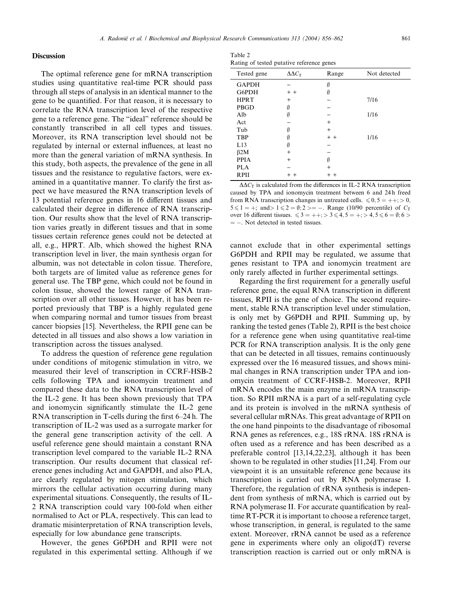## **Discussion**

The optimal reference gene for mRNA transcription studies using quantitative real-time PCR should pass through all steps of analysis in an identical manner to the gene to be quantified. For that reason, it is necessary to correlate the RNA transcription level of the respective gene to a reference gene. The "ideal" reference should be constantly transcribed in all cell types and tissues. Moreover, its RNA transcription level should not be regulated by internal or external influences, at least no more than the general variation of mRNA synthesis. In this study, both aspects, the prevalence of the gene in all tissues and the resistance to regulative factors, were examined in a quantitative manner. To clarify the first aspect we have measured the RNA transcription levels of 13 potential reference genes in 16 different tissues and calculated their degree in difference of RNA transcription. Our results show that the level of RNA transcription varies greatly in different tissues and that in some tissues certain reference genes could not be detected at all, e.g., HPRT. Alb, which showed the highest RNA transcription level in liver, the main synthesis organ for albumin, was not detectable in colon tissue. Therefore, both targets are of limited value as reference genes for general use. The TBP gene, which could not be found in colon tissue, showed the lowest range of RNA transcription over all other tissues. However, it has been reported previously that TBP is a highly regulated gene when comparing normal and tumor tissues from breast cancer biopsies [15]. Nevertheless, the RPII gene can be detected in all tissues and also shows a low variation in transcription across the tissues analysed.

To address the question of reference gene regulation under conditions of mitogenic stimulation in vitro, we measured their level of transcription in CCRF-HSB-2 cells following TPA and ionomycin treatment and compared these data to the RNA transcription level of the IL-2 gene. It has been shown previously that TPA and ionomycin significantly stimulate the IL-2 gene RNA transcription in T-cells during the first 6–24 h. The transcription of IL-2 was used as a surrogate marker for the general gene transcription activity of the cell. A useful reference gene should maintain a constant RNA transcription level compared to the variable IL-2 RNA transcription. Our results document that classical reference genes including Act and GAPDH, and also PLA, are clearly regulated by mitogen stimulation, which mirrors the cellular activation occurring during many experimental situations. Consequently, the results of IL-2 RNA transcription could vary 100-fold when either normalised to Act or PLA, respectively. This can lead to dramatic misinterpretation of RNA transcription levels, especially for low abundance gene transcripts.

However, the genes G6PDH and RPII were not regulated in this experimental setting. Although if we

| Table 2                                   |  |  |
|-------------------------------------------|--|--|
| Rating of tested putative reference genes |  |  |

| Not detected |
|--------------|
|              |
|              |
|              |
|              |
|              |
|              |
|              |
|              |
|              |
|              |
|              |
|              |
|              |
|              |

 $\Delta \Delta C_T$  is calculated from the differences in IL-2 RNA transcription caused by TPA and ionomycin treatment between 6 and 24 h freed from RNA transcription changes in untreated cells.  $\leq 0, 5 = ++$ ;  $> 0$ ;  $5 \le 1 = +$ ; and  $> 1 \le 2 = \emptyset$ ; 2 > = -. Range (10/90 percentile) of  $C_T$ over 16 different tissues.  $\leq 3 = ++; > 3 \leq 4, 5 = +; > 4, 5 \leq 6 = \emptyset; 6 >$  $=$  -. Not detected in tested tissues.

cannot exclude that in other experimental settings G6PDH and RPII may be regulated, we assume that genes resistant to TPA and ionomycin treatment are only rarely affected in further experimental settings.

Regarding the first requirement for a generally useful reference gene, the equal RNA transcription in different tissues, RPII is the gene of choice. The second requirement, stable RNA transcription level under stimulation, is only met by G6PDH and RPII. Summing up, by ranking the tested genes (Table 2), RPII is the best choice for a reference gene when using quantitative real-time PCR for RNA transcription analysis. It is the only gene that can be detected in all tissues, remains continuously expressed over the 16 measured tissues, and shows minimal changes in RNA transcription under TPA and ionomycin treatment of CCRF-HSB-2. Moreover, RPII mRNA encodes the main enzyme in mRNA transcription. So RPII mRNA is a part of a self-regulating cycle and its protein is involved in the mRNA synthesis of several cellular mRNAs. This great advantage of RPII on the one hand pinpoints to the disadvantage of ribosomal RNA genes as references, e.g., 18S rRNA. 18S rRNA is often used as a reference and has been described as a preferable control [13,14,22,23], although it has been shown to be regulated in other studies [11,24]. From our viewpoint it is an unsuitable reference gene because its transcription is carried out by RNA polymerase I. Therefore, the regulation of rRNA synthesis is independent from synthesis of mRNA, which is carried out by RNA polymerase II. For accurate quantification by realtime RT-PCR it is important to choose a reference target, whose transcription, in general, is regulated to the same extent. Moreover, rRNA cannot be used as a reference gene in experiments where only an oligo(dT) reverse transcription reaction is carried out or only mRNA is